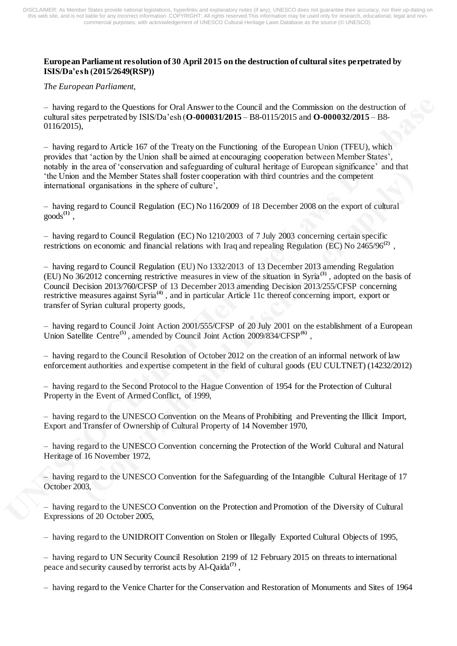## **European Parliament resolution of 30 April 2015 on the destruction of cultural sites perpetrated by ISIS/Da'esh [\(2015/2649\(RSP\)](http://www.europarl.europa.eu/oeil/popups/ficheprocedure.do?lang=en&reference=2015/2649(RSP)))**

*The European Parliament,*

– having regard to the Questions for Oral Answer to the Council and the Commission on the destruction of cultural sites perpetrated by ISIS/Da'esh (**[O-000031/2015](http://www.europarl.europa.eu/sides/getDoc.do?type=OQ&reference=O-2015-000031&language=EN)** – B8-0115/2015 and **[O-000032/2015](http://www.europarl.europa.eu/sides/getDoc.do?type=OQ&reference=O-2015-000032&language=EN)** – B8- 0116/2015),

– having regard to Article 167 of the Treaty on the Functioning of the European Union (TFEU), which provides that 'action by the Union shall be aimed at encouraging cooperation between Member States', notably in the area of 'conservation and safeguarding of cultural heritage of European significance' and that 'the Union and the Member States shall foster cooperation with third countries and the competent international organisations in the sphere of culture',

– having regard to Council Regulation (EC) No 116/2009 of 18 December 2008 on the export of cultural goods**[\(1\)](http://www.europarl.europa.eu/sides/getDoc.do?pubRef=-//EP//TEXT+TA+P8-TA-2015-0179+0+DOC+XML+V0//EN&language=EN#def_1_1)** ,

– having regard to Council Regulation (EC) No 1210/2003 of 7 July 2003 concerning certain specific restrictions on economic and financial relations with Iraq and repealing Regulation (EC) No 2465/96<sup>[\(2\)](http://www.europarl.europa.eu/sides/getDoc.do?pubRef=-//EP//TEXT+TA+P8-TA-2015-0179+0+DOC+XML+V0//EN&language=EN#def_1_2)</sup>,

– having regard to Council Regulation (EU) No 1332/2013 of 13 December 2013 amending Regulation (EU) No 36/2012 concerning restrictive measures in view of the situation in Syria**[\(3\)](http://www.europarl.europa.eu/sides/getDoc.do?pubRef=-//EP//TEXT+TA+P8-TA-2015-0179+0+DOC+XML+V0//EN&language=EN#def_1_3)** , adopted on the basis of Council Decision 2013/760/CFSP of 13 December 2013 amending Decision 2013/255/CFSP concerning restrictive measures against Syria**[\(4\)](http://www.europarl.europa.eu/sides/getDoc.do?pubRef=-//EP//TEXT+TA+P8-TA-2015-0179+0+DOC+XML+V0//EN&language=EN#def_1_4)** , and in particular Article 11c thereof concerning import, export or transfer of Syrian cultural property goods,

– having regard to Council Joint Action 2001/555/CFSP of 20 July 2001 on the establishment of a European Union Satellite Centre**[\(5\)](http://www.europarl.europa.eu/sides/getDoc.do?pubRef=-//EP//TEXT+TA+P8-TA-2015-0179+0+DOC+XML+V0//EN&language=EN#def_1_5)** , amended by Council Joint Action 2009/834/CFSP**[\(6\)](http://www.europarl.europa.eu/sides/getDoc.do?pubRef=-//EP//TEXT+TA+P8-TA-2015-0179+0+DOC+XML+V0//EN&language=EN#def_1_6)** ,

– having regard to the Council Resolution of October 2012 on the creation of an informal network of law enforcement authorities and expertise competent in the field of cultural goods (EU CULTNET) (14232/2012)

– having regard to the Second Protocol to the Hague Convention of 1954 for the Protection of Cultural Property in the Event of Armed Conflict, of 1999,

– having regard to the UNESCO Convention on the Means of Prohibiting and Preventing the Illicit Import, Export and Transfer of Ownership of Cultural Property of 14 November 1970,

– having regard to the UNESCO Convention concerning the Protection of the World Cultural and Natural Heritage of 16 November 1972,

– having regard to the UNESCO Convention for the Safeguarding of the Intangible Cultural Heritage of 17 October 2003,

– having regard to the UNESCO Convention on the Protection and Promotion of the Diversity of Cultural Expressions of 20 October 2005,

– having regard to the UNIDROIT Convention on Stolen or Illegally Exported Cultural Objects of 1995,

– having regard to UN Security Council Resolution 2199 of 12 February 2015 on threats to international peace and security caused by terrorist acts by Al-Qaida**[\(7\)](http://www.europarl.europa.eu/sides/getDoc.do?pubRef=-//EP//TEXT+TA+P8-TA-2015-0179+0+DOC+XML+V0//EN&language=EN#def_1_7)** ,

– having regard to the Venice Charter for the Conservation and Restoration of Monuments and Sites of 1964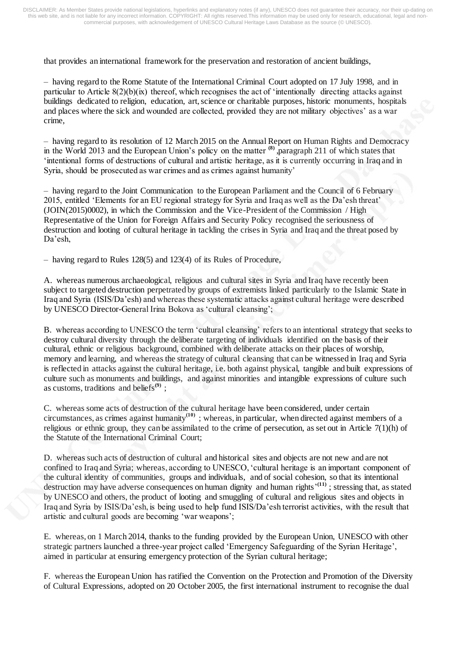that provides an international framework for the preservation and restoration of ancient buildings,

– having regard to the Rome Statute of the International Criminal Court adopted on 17 July 1998, and in particular to Article  $8(2)(b)(ix)$  thereof, which recognises the act of 'intentionally directing attacks against buildings dedicated to religion, education, art, science or charitable purposes, historic monuments, hospitals and places where the sick and wounded are collected, provided they are not military objectives' as a war crime,

– having regard to its resolution of 12 March 2015 on the Annual Report on Human Rights and Democracy in the World 2013 and the European Union's policy on the matter <sup>[\(8\)](http://www.europarl.europa.eu/sides/getDoc.do?pubRef=-//EP//TEXT+TA+P8-TA-2015-0179+0+DOC+XML+V0//EN&language=EN#def_1_8)</sup> ,paragraph 211 of which states that 'intentional forms of destructions of cultural and artistic heritage, as it is currently occurring in Iraq and in Syria, should be prosecuted as war crimes and as crimes against humanity'

– having regard to the Joint Communication to the European Parliament and the Council of 6 February 2015, entitled 'Elements for an EU regional strategy for Syria and Iraq as well as the Da'esh threat' (JOIN(2015)0002), in which the Commission and the Vice-President of the Commission / High Representative of the Union for Foreign Affairs and Security Policy recognised the seriousness of destruction and looting of cultural heritage in tackling the crises in Syria and Iraq and the threat posed by Da'esh,

– having regard to Rules 128(5) and 123(4) of its Rules of Procedure,

A. whereas numerous archaeological, religious and cultural sites in Syria and Iraq have recently been subject to targeted destruction perpetrated by groups of extremists linked particularly to the Islamic State in Iraq and Syria (ISIS/Da'esh) and whereas these systematic attacks against cultural heritage were described by UNESCO Director-General Irina Bokova as 'cultural cleansing';

B. whereas according to UNESCO the term 'cultural cleansing' refers to an intentional strategy that seeks to destroy cultural diversity through the deliberate targeting of individuals identified on the basis of their cultural, ethnic or religious background, combined with deliberate attacks on their places of worship, memory and learning, and whereas the strategy of cultural cleansing that can be witnessed in Iraq and Syria is reflected in attacks against the cultural heritage, i.e. both against physical, tangible and built expressions of culture such as monuments and buildings, and against minorities and intangible expressions of culture such as customs, traditions and beliefs**[\(9\)](http://www.europarl.europa.eu/sides/getDoc.do?pubRef=-//EP//TEXT+TA+P8-TA-2015-0179+0+DOC+XML+V0//EN&language=EN#def_1_9)** ;

C. whereas some acts of destruction of the cultural heritage have been considered, under certain circumstances, as crimes against humanity**[\(10\)](http://www.europarl.europa.eu/sides/getDoc.do?pubRef=-//EP//TEXT+TA+P8-TA-2015-0179+0+DOC+XML+V0//EN&language=EN#def_1_10)** ; whereas, in particular, when directed against members of a religious or ethnic group, they can be assimilated to the crime of persecution, as set out in Article  $7(1)(h)$  of the Statute of the International Criminal Court;

D. whereas such acts of destruction of cultural and historical sites and objects are not new and are not confined to Iraq and Syria; whereas, according to UNESCO, 'cultural heritage is an important component of the cultural identity of communities, groups and individuals, and of social cohesion, so that its intentional destruction may have adverse consequences on human dignity and human rights' **[\(11\)](http://www.europarl.europa.eu/sides/getDoc.do?pubRef=-//EP//TEXT+TA+P8-TA-2015-0179+0+DOC+XML+V0//EN&language=EN#def_1_11)** ; stressing that, as stated by UNESCO and others, the product of looting and smuggling of cultural and religious sites and objects in Iraq and Syria by ISIS/Da'esh, is being used to help fund ISIS/Da'esh terrorist activities, with the result that artistic and cultural goods are becoming 'war weapons';

E. whereas, on 1 March 2014, thanks to the funding provided by the European Union, UNESCO with other strategic partners launched a three-year project called 'Emergency Safeguarding of the Syrian Heritage', aimed in particular at ensuring emergency protection of the Syrian cultural heritage;

F. whereas the European Union has ratified the Convention on the Protection and Promotion of the Diversity of Cultural Expressions, adopted on 20 October 2005, the first international instrument to recognise the dual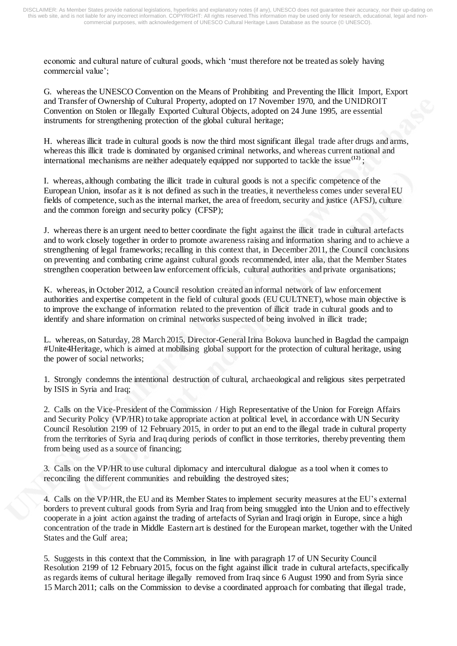economic and cultural nature of cultural goods, which 'must therefore not be treated as solely having commercial value';

G. whereas the UNESCO Convention on the Means of Prohibiting and Preventing the Illicit Import, Export and Transfer of Ownership of Cultural Property, adopted on 17 November 1970, and the UNIDROIT Convention on Stolen or Illegally Exported Cultural Objects, adopted on 24 June 1995, are essential instruments for strengthening protection of the global cultural heritage;

H. whereas illicit trade in cultural goods is now the third most significant illegal trade after drugs and arms, whereas this illicit trade is dominated by organised criminal networks, and whereas current national and international mechanisms are neither adequately equipped nor supported to tackle the issue<sup>[\(12\)](http://www.europarl.europa.eu/sides/getDoc.do?pubRef=-//EP//TEXT+TA+P8-TA-2015-0179+0+DOC+XML+V0//EN&language=EN#def_1_12)</sup>;

I. whereas, although combating the illicit trade in cultural goods is not a specific competence of the European Union, insofar as it is not defined as such in the treaties, it nevertheless comes under several EU fields of competence, such as the internal market, the area of freedom, security and justice (AFSJ), culture and the common foreign and security policy (CFSP);

J. whereas there is an urgent need to better coordinate the fight against the illicit trade in cultural artefacts and to work closely together in order to promote awareness raising and information sharing and to achieve a strengthening of legal frameworks; recalling in this context that, in December 2011, the Council conclusions on preventing and combating crime against cultural goods recommended, inter alia, that the Member States strengthen cooperation between law enforcement officials, cultural authorities and private organisations;

K. whereas, in October 2012, a Council resolution created an informal network of law enforcement authorities and expertise competent in the field of cultural goods (EU CULTNET), whose main objective is to improve the exchange of information related to the prevention of illicit trade in cultural goods and to identify and share information on criminal networks suspected of being involved in illicit trade;

L. whereas, on Saturday, 28 March 2015, Director-General Irina Bokova launched in Bagdad the campaign #Unite4Heritage, which is aimed at mobilising global support for the protection of cultural heritage, using the power of social networks;

1. Strongly condemns the intentional destruction of cultural, archaeological and religious sites perpetrated by ISIS in Syria and Iraq;

2. Calls on the Vice-President of the Commission / High Representative of the Union for Foreign Affairs and Security Policy (VP/HR) to take appropriate action at political level, in accordance with UN Security Council Resolution 2199 of 12 February 2015, in order to put an end to the illegal trade in cultural property from the territories of Syria and Iraq during periods of conflict in those territories, thereby preventing them from being used as a source of financing;

3. Calls on the VP/HR to use cultural diplomacy and intercultural dialogue as a tool when it comes to reconciling the different communities and rebuilding the destroyed sites;

4. Calls on the VP/HR, the EU and its Member States to implement security measures at the EU's external borders to prevent cultural goods from Syria and Iraq from being smuggled into the Union and to effectively cooperate in a joint action against the trading of artefacts of Syrian and Iraqi origin in Europe, since a high concentration of the trade in Middle Eastern art is destined for the European market, together with the United States and the Gulf area;

5. Suggests in this context that the Commission, in line with paragraph 17 of UN Security Council Resolution 2199 of 12 February 2015, focus on the fight against illicit trade in cultural artefacts, specifically as regards items of cultural heritage illegally removed from Iraq since 6 August 1990 and from Syria since 15 March 2011; calls on the Commission to devise a coordinated approach for combating that illegal trade,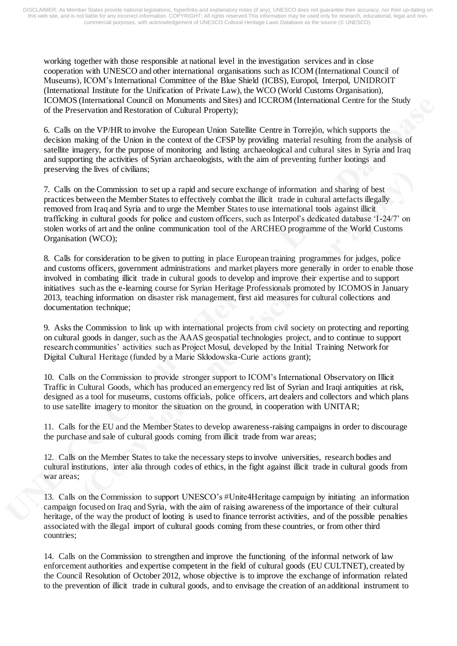working together with those responsible at national level in the investigation services and in close cooperation with UNESCO and other international organisations such as ICOM (International Council of Museums), ICOM's International Committee of the Blue Shield (ICBS), Europol, Interpol, UNIDROIT (International Institute for the Unification of Private Law), the WCO (World Customs Organisation), ICOMOS (International Council on Monuments and Sites) and ICCROM (International Centre for the Study of the Preservation and Restoration of Cultural Property);

6. Calls on the VP/HR to involve the European Union Satellite Centre in Torrejón, which supports the decision making of the Union in the context of the CFSP by providing material resulting from the analysis of satellite imagery, for the purpose of monitoring and listing archaeological and cultural sites in Syria and Iraq and supporting the activities of Syrian archaeologists, with the aim of preventing further lootings and preserving the lives of civilians;

7. Calls on the Commission to set up a rapid and secure exchange of information and sharing of best practices between the Member States to effectively combat the illicit trade in cultural artefacts illegally removed from Iraq and Syria and to urge the Member States to use international tools against illicit trafficking in cultural goods for police and custom officers, such as Interpol's dedicated database 'I-24/7' on stolen works of art and the online communication tool of the ARCHEO programme of the World Customs Organisation (WCO);

8. Calls for consideration to be given to putting in place European training programmes for judges, police and customs officers, government administrations and market players more generally in order to enable those involved in combating illicit trade in cultural goods to develop and improve their expertise and to support initiatives such as the e-learning course for Syrian Heritage Professionals promoted by ICOMOS in January 2013, teaching information on disaster risk management, first aid measures for cultural collections and documentation technique;

9. Asks the Commission to link up with international projects from civil society on protecting and reporting on cultural goods in danger, such as the AAAS geospatial technologies project, and to continue to support research communities' activities such as Project Mosul, developed by the Initial Training Network for Digital Cultural Heritage (funded by a Marie Skłodowska-Curie actions grant);

10. Calls on the Commission to provide stronger support to ICOM's International Observatory on Illicit Traffic in Cultural Goods, which has produced an emergency red list of Syrian and Iraqi antiquities at risk, designed as a tool for museums, customs officials, police officers, art dealers and collectors and which plans to use satellite imagery to monitor the situation on the ground, in cooperation with UNITAR;

11. Calls for the EU and the Member States to develop awareness-raising campaigns in order to discourage the purchase and sale of cultural goods coming from illicit trade from war areas;

12. Calls on the Member States to take the necessary steps to involve universities, research bodies and cultural institutions, inter alia through codes of ethics, in the fight against illicit trade in cultural goods from war areas;

13. Calls on the Commission to support UNESCO's #Unite4Heritage campaign by initiating an information campaign focused on Iraq and Syria, with the aim of raising awareness of the importance of their cultural heritage, of the way the product of looting is used to finance terrorist activities, and of the possible penalties associated with the illegal import of cultural goods coming from these countries, or from other third countries;

14. Calls on the Commission to strengthen and improve the functioning of the informal network of law enforcement authorities and expertise competent in the field of cultural goods (EU CULTNET), created by the Council Resolution of October 2012, whose objective is to improve the exchange of information related to the prevention of illicit trade in cultural goods, and to envisage the creation of an additional instrument to